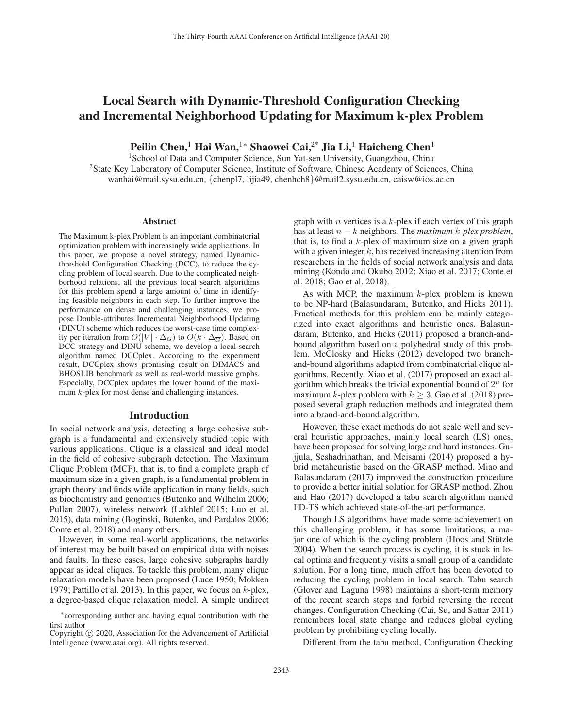# Local Search with Dynamic-Threshold Configuration Checking and Incremental Neighborhood Updating for Maximum k-plex Problem

Peilin Chen,<sup>1</sup> Hai Wan,<sup>1</sup> \* Shaowei Cai,<sup>2\*</sup> Jia Li,<sup>1</sup> Haicheng Chen<sup>1</sup>

<sup>1</sup> School of Data and Computer Science, Sun Yat-sen University, Guangzhou, China <sup>2</sup>State Key Laboratory of Computer Science, Institute of Software, Chinese Academy of Sciences, China wanhai@mail.sysu.edu.cn, {chenpl7, lijia49, chenhch8}@mail2.sysu.edu.cn, caisw@ios.ac.cn

#### Abstract

The Maximum k-plex Problem is an important combinatorial optimization problem with increasingly wide applications. In this paper, we propose a novel strategy, named Dynamicthreshold Configuration Checking (DCC), to reduce the cycling problem of local search. Due to the complicated neighborhood relations, all the previous local search algorithms for this problem spend a large amount of time in identifying feasible neighbors in each step. To further improve the performance on dense and challenging instances, we propose Double-attributes Incremental Neighborhood Updating (DINU) scheme which reduces the worst-case time complexity per iteration from  $O(|V| \cdot \Delta_G)$  to  $O(k \cdot \Delta_{\overline{G}})$ . Based on DCC strategy and DINU scheme, we develop a local search algorithm named DCCplex. According to the experiment result, DCCplex shows promising result on DIMACS and BHOSLIB benchmark as well as real-world massive graphs. Especially, DCCplex updates the lower bound of the maximum k-plex for most dense and challenging instances.

### Introduction

In social network analysis, detecting a large cohesive subgraph is a fundamental and extensively studied topic with various applications. Clique is a classical and ideal model in the field of cohesive subgraph detection. The Maximum Clique Problem (MCP), that is, to find a complete graph of maximum size in a given graph, is a fundamental problem in graph theory and finds wide application in many fields, such as biochemistry and genomics (Butenko and Wilhelm 2006; Pullan 2007), wireless network (Lakhlef 2015; Luo et al. 2015), data mining (Boginski, Butenko, and Pardalos 2006; Conte et al. 2018) and many others.

However, in some real-world applications, the networks of interest may be built based on empirical data with noises and faults. In these cases, large cohesive subgraphs hardly appear as ideal cliques. To tackle this problem, many clique relaxation models have been proposed (Luce 1950; Mokken 1979; Pattillo et al. 2013). In this paper, we focus on  $k$ -plex, a degree-based clique relaxation model. A simple undirect

graph with  $n$  vertices is a  $k$ -plex if each vertex of this graph has at least n − k neighbors. The *maximum* k*-plex problem*, that is, to find a  $k$ -plex of maximum size on a given graph with a given integer  $k$ , has received increasing attention from researchers in the fields of social network analysis and data mining (Kondo and Okubo 2012; Xiao et al. 2017; Conte et al. 2018; Gao et al. 2018).

As with MCP, the maximum  $k$ -plex problem is known to be NP-hard (Balasundaram, Butenko, and Hicks 2011). Practical methods for this problem can be mainly categorized into exact algorithms and heuristic ones. Balasundaram, Butenko, and Hicks (2011) proposed a branch-andbound algorithm based on a polyhedral study of this problem. McClosky and Hicks (2012) developed two branchand-bound algorithms adapted from combinatorial clique algorithms. Recently, Xiao et al. (2017) proposed an exact algorithm which breaks the trivial exponential bound of  $2^n$  for maximum k-plex problem with  $k \geq 3$ . Gao et al. (2018) proposed several graph reduction methods and integrated them into a brand-and-bound algorithm.

However, these exact methods do not scale well and several heuristic approaches, mainly local search (LS) ones, have been proposed for solving large and hard instances. Gujjula, Seshadrinathan, and Meisami (2014) proposed a hybrid metaheuristic based on the GRASP method. Miao and Balasundaram (2017) improved the construction procedure to provide a better initial solution for GRASP method. Zhou and Hao (2017) developed a tabu search algorithm named FD-TS which achieved state-of-the-art performance.

Though LS algorithms have made some achievement on this challenging problem, it has some limitations, a major one of which is the cycling problem (Hoos and Stützle 2004). When the search process is cycling, it is stuck in local optima and frequently visits a small group of a candidate solution. For a long time, much effort has been devoted to reducing the cycling problem in local search. Tabu search (Glover and Laguna 1998) maintains a short-term memory of the recent search steps and forbid reversing the recent changes. Configuration Checking (Cai, Su, and Sattar 2011) remembers local state change and reduces global cycling problem by prohibiting cycling locally.

Different from the tabu method, Configuration Checking

<sup>∗</sup>corresponding author and having equal contribution with the first author

Copyright  $\odot$  2020, Association for the Advancement of Artificial Intelligence (www.aaai.org). All rights reserved.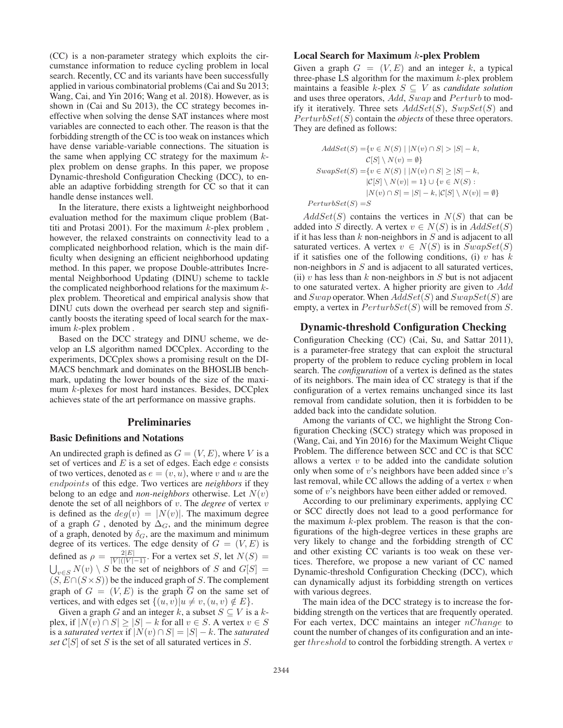(CC) is a non-parameter strategy which exploits the circumstance information to reduce cycling problem in local search. Recently, CC and its variants have been successfully applied in various combinatorial problems (Cai and Su 2013; Wang, Cai, and Yin 2016; Wang et al. 2018). However, as is shown in (Cai and Su 2013), the CC strategy becomes ineffective when solving the dense SAT instances where most variables are connected to each other. The reason is that the forbidding strength of the CC is too weak on instances which have dense variable-variable connections. The situation is the same when applying CC strategy for the maximum  $k$ plex problem on dense graphs. In this paper, we propose Dynamic-threshold Configuration Checking (DCC), to enable an adaptive forbidding strength for CC so that it can handle dense instances well.

In the literature, there exists a lightweight neighborhood evaluation method for the maximum clique problem (Battiti and Protasi 2001). For the maximum  $k$ -plex problem, however, the relaxed constraints on connectivity lead to a complicated neighborhood relation, which is the main difficulty when designing an efficient neighborhood updating method. In this paper, we propose Double-attributes Incremental Neighborhood Updating (DINU) scheme to tackle the complicated neighborhood relations for the maximum  $k$ plex problem. Theoretical and empirical analysis show that DINU cuts down the overhead per search step and significantly boosts the iterating speed of local search for the maximum k-plex problem .

Based on the DCC strategy and DINU scheme, we develop an LS algorithm named DCCplex. According to the experiments, DCCplex shows a promising result on the DI-MACS benchmark and dominates on the BHOSLIB benchmark, updating the lower bounds of the size of the maximum k-plexes for most hard instances. Besides, DCCplex achieves state of the art performance on massive graphs.

### Preliminaries

### Basic Definitions and Notations

An undirected graph is defined as  $G = (V, E)$ , where V is a set of vertices and  $E$  is a set of edges. Each edge  $e$  consists of two vertices, denoted as  $e = (v, u)$ , where v and u are the endpoints of this edge. Two vertices are *neighbors* if they belong to an edge and *non-neighbors* otherwise. Let  $N(v)$ denote the set of all neighbors of v. The *degree* of vertex v is defined as the  $deg(v) = |N(v)|$ . The maximum degree of a graph G, denoted by  $\Delta_G$ , and the minimum degree of a graph, denoted by  $\delta_G$ , are the maximum and minimum degree of its vertices. The edge density of  $G = (V, E)$  is defined as  $\rho = \frac{2|E|}{|V|(|V|-1)}$ . For a vertex set S, let  $N(S) =$  $\bigcup_{v \in S} N(v) \setminus S$  be the set of neighbors of S and  $G[S] =$  $(S, E \cap (S \times S))$  be the induced graph of S. The complement graph of  $G = (V, E)$  is the graph  $\overline{G}$  on the same set of vertices, and with edges set  $\{(u, v)|u \neq v, (u, v) \notin E\}.$ 

Given a graph G and an integer k, a subset  $S \subseteq V$  is a kplex, if  $|N(v) \cap S| \ge |S| - k$  for all  $v \in S$ . A vertex  $v \in S$ is a *saturated vertex* if  $|N(v) \cap S| = |S| - k$ . The *saturated set*  $C[S]$  of set S is the set of all saturated vertices in S.

### Local Search for Maximum k-plex Problem

Given a graph  $G = (V, E)$  and an integer k, a typical three-phase LS algorithm for the maximum  $k$ -plex problem maintains a feasible  $k$ -plex  $S \subseteq V$  as *candidate solution* and uses three operators, Add, Swap and Perturb to modify it iteratively. Three sets  $AddSet(S)$ ,  $SupSet(S)$  and  $PerturbSet(S)$  contain the *objects* of these three operators. They are defined as follows:

$$
AddSet(S) = \{v \in N(S) \mid |N(v) \cap S| > |S| - k,
$$
  
\n
$$
C[S] \setminus N(v) = \emptyset\}
$$
  
\n
$$
SwapSet(S) = \{v \in N(S) \mid |N(v) \cap S| \ge |S| - k,
$$
  
\n
$$
|C[S] \setminus N(v)| = 1\} \cup \{v \in N(S) :
$$
  
\n
$$
|N(v) \cap S| = |S| - k, |C[S] \setminus N(v)| = \emptyset\}
$$
  
\n
$$
PerturbSet(S) = S
$$

 $AddSet(S)$  contains the vertices in  $N(S)$  that can be added into S directly. A vertex  $v \in N(S)$  is in  $AddSet(S)$ if it has less than  $k$  non-neighbors in  $S$  and is adjacent to all saturated vertices. A vertex  $v \in N(S)$  is in  $SwapSet(S)$ if it satisfies one of the following conditions, (i) v has  $k$ non-neighbors in  $S$  and is adjacent to all saturated vertices, (ii) v has less than  $k$  non-neighbors in  $S$  but is not adjacent to one saturated vertex. A higher priority are given to Add and  $Swap$  operator. When  $AddSet(S)$  and  $SwapSet(S)$  are empty, a vertex in  $PerturbSet(S)$  will be removed from S.

# Dynamic-threshold Configuration Checking

Configuration Checking (CC) (Cai, Su, and Sattar 2011), is a parameter-free strategy that can exploit the structural property of the problem to reduce cycling problem in local search. The *configuration* of a vertex is defined as the states of its neighbors. The main idea of CC strategy is that if the configuration of a vertex remains unchanged since its last removal from candidate solution, then it is forbidden to be added back into the candidate solution.

Among the variants of CC, we highlight the Strong Configuration Checking (SCC) strategy which was proposed in (Wang, Cai, and Yin 2016) for the Maximum Weight Clique Problem. The difference between SCC and CC is that SCC allows a vertex  $v$  to be added into the candidate solution only when some of  $v$ 's neighbors have been added since  $v$ 's last removal, while CC allows the adding of a vertex  $v$  when some of v's neighbors have been either added or removed.

According to our preliminary experiments, applying CC or SCC directly does not lead to a good performance for the maximum  $k$ -plex problem. The reason is that the configurations of the high-degree vertices in these graphs are very likely to change and the forbidding strength of CC and other existing CC variants is too weak on these vertices. Therefore, we propose a new variant of CC named Dynamic-threshold Configuration Checking (DCC), which can dynamically adjust its forbidding strength on vertices with various degrees.

The main idea of the DCC strategy is to increase the forbidding strength on the vertices that are frequently operated. For each vertex, DCC maintains an integer  $nChange$  to count the number of changes of its configuration and an integer threshold to control the forbidding strength. A vertex  $v$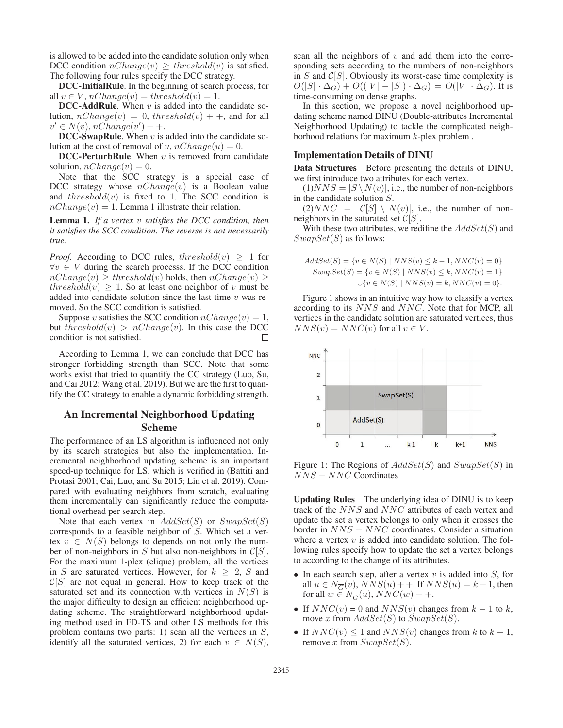is allowed to be added into the candidate solution only when DCC condition  $nChange(v) \geq threshold(v)$  is satisfied. The following four rules specify the DCC strategy.

DCC-InitialRule. In the beginning of search process, for all  $v \in V$ ,  $nChange(v) = threshold(v) = 1$ .

**DCC-AddRule.** When  $v$  is added into the candidate solution,  $nChange(v)=0$ ,  $threshold(v)++$ , and for all  $v' \in N(v)$ , nChange $(v') + +$ .

**DCC-SwapRule**. When  $v$  is added into the candidate solution at the cost of removal of u,  $nChange(u)=0$ .

**DCC-PerturbRule**. When  $v$  is removed from candidate solution,  $nChange(v)=0$ .

Note that the SCC strategy is a special case of DCC strategy whose  $nChange(v)$  is a Boolean value and  $threshold(v)$  is fixed to 1. The SCC condition is  $nChange(v)=1$ . Lemma 1 illustrate their relation.

Lemma 1. *If a vertex* v *satisfies the DCC condition, then it satisfies the SCC condition. The reverse is not necessarily true.*

*Proof.* According to DCC rules, threshold $(v) \geq 1$  for  $\forall v \in V$  during the search processs. If the DCC condition  $nChange(v) \geq threshold(v)$  holds, then  $nChange(v) \geq$ threshold $(v) \geq 1$ . So at least one neighbor of v must be added into candidate solution since the last time  $v$  was removed. So the SCC condition is satisfied.

Suppose v satisfies the SCC condition  $nChange(v)=1$ , but threshold(v) >  $nChange(v)$ . In this case the DCC condition is not satisfied.  $\Box$ 

According to Lemma 1, we can conclude that DCC has stronger forbidding strength than SCC. Note that some works exist that tried to quantify the CC strategy (Luo, Su, and Cai 2012; Wang et al. 2019). But we are the first to quantify the CC strategy to enable a dynamic forbidding strength.

# An Incremental Neighborhood Updating Scheme

The performance of an LS algorithm is influenced not only by its search strategies but also the implementation. Incremental neighborhood updating scheme is an important speed-up technique for LS, which is verified in (Battiti and Protasi 2001; Cai, Luo, and Su 2015; Lin et al. 2019). Compared with evaluating neighbors from scratch, evaluating them incrementally can significantly reduce the computational overhead per search step.

Note that each vertex in  $AddSet(S)$  or  $SwapSet(S)$ corresponds to a feasible neighbor of S. Which set a vertex  $v \in N(S)$  belongs to depends on not only the number of non-neighbors in S but also non-neighbors in  $C[S]$ . For the maximum 1-plex (clique) problem, all the vertices in S are saturated vertices. However, for  $k \geq 2$ , S and  $C[S]$  are not equal in general. How to keep track of the saturated set and its connection with vertices in  $N(S)$  is the major difficulty to design an efficient neighborhood updating scheme. The straightforward neighborhood updating method used in FD-TS and other LS methods for this problem contains two parts: 1) scan all the vertices in  $S$ , identify all the saturated vertices, 2) for each  $v \in N(S)$ ,

scan all the neighbors of  $v$  and add them into the corresponding sets according to the numbers of non-neighbors in  $S$  and  $C[S]$ . Obviously its worst-case time complexity is  $O(|S| \cdot \Delta_G) + O(|V| - |S|) \cdot \Delta_G) = O(|V| \cdot \Delta_G)$ . It is time-consuming on dense graphs.

In this section, we propose a novel neighborhood updating scheme named DINU (Double-attributes Incremental Neighborhood Updating) to tackle the complicated neighborhood relations for maximum  $k$ -plex problem.

### Implementation Details of DINU

Data Structures Before presenting the details of DINU, we first introduce two attributes for each vertex.

 $(1)NNS = |S \setminus N(v)|$ , i.e., the number of non-neighbors in the candidate solution S.

 $(2)NNC = |\mathcal{C}[S] \setminus N(v)|$ , i.e., the number of nonneighbors in the saturated set  $C[S]$ .

With these two attributes, we redifine the  $AddSet(S)$  and  $SwapSet(S)$  as follows:

$$
AddSet(S) = \{v \in N(S) \mid NNS(v) \le k - 1, NNC(v) = 0\}
$$
  
\n
$$
SwapSet(S) = \{v \in N(S) \mid NNS(v) \le k, NNC(v) = 1\}
$$
  
\n
$$
\cup \{v \in N(S) \mid NNS(v) = k, NNC(v) = 0\}.
$$

Figure 1 shows in an intuitive way how to classify a vertex according to its NNS and NNC. Note that for MCP, all vertices in the candidate solution are saturated vertices, thus  $NNS(v) = NNC(v)$  for all  $v \in V$ .



Figure 1: The Regions of  $AddSet(S)$  and  $SwapSet(S)$  in NNS − NNC Coordinates

Updating Rules The underlying idea of DINU is to keep track of the NNS and NNC attributes of each vertex and update the set a vertex belongs to only when it crosses the border in NNS − NNC coordinates. Consider a situation where a vertex  $v$  is added into candidate solution. The following rules specify how to update the set a vertex belongs to according to the change of its attributes.

- In each search step, after a vertex  $v$  is added into  $S$ , for all  $u \in N_{\overline{G}}(v)$ ,  $NNS(u)$  + +. If  $NNS(u) = k - 1$ , then for all  $w \in N_{\overline{G}}(u)$ ,  $NNC(w) + +$ .
- If  $NNC(v) = 0$  and  $NNS(v)$  changes from  $k 1$  to k, move x from  $AddSet(S)$  to  $SwapSet(S)$ .
- If  $NNC(v) \leq 1$  and  $NNS(v)$  changes from k to  $k+1$ , remove x from  $SwapSet(S)$ .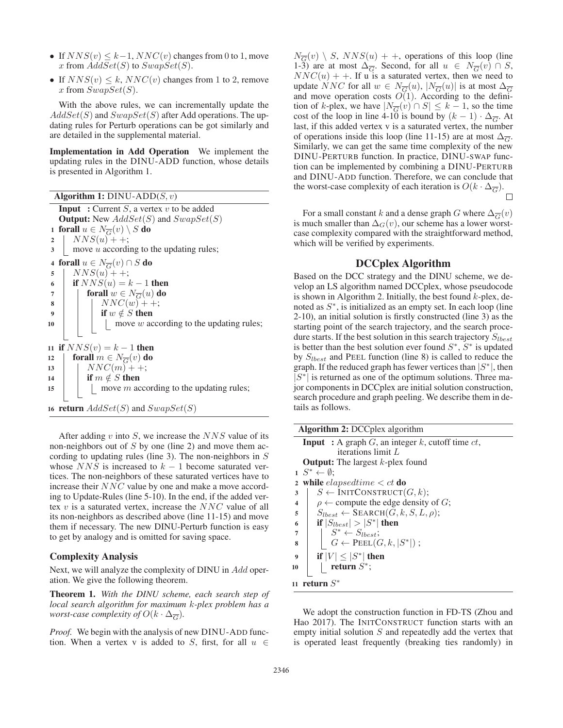- If  $NNS(v) \leq k-1$ ,  $NNC(v)$  changes from 0 to 1, move x from  $AddSet(S)$  to  $SwapSet(S)$ .
- If  $NNS(v) \leq k$ ,  $NNC(v)$  changes from 1 to 2, remove x from  $SwapSet(S)$ .

With the above rules, we can incrementally update the  $AddSet(S)$  and  $SwapSet(S)$  after Add operations. The updating rules for Perturb operations can be got similarly and are detailed in the supplemental material.

Implementation in Add Operation We implement the updating rules in the DINU-ADD function, whose details is presented in Algorithm 1.

Algorithm 1:  $DINU-ADD(S, v)$ **Input** : Current  $S$ , a vertex  $v$  to be added **Output:** New  $AddSet(S)$  and  $SwapSet(S)$ 1 forall  $u \in N_{\overline{G}}(v) \setminus S$  do<br>2 |  $NNS(u) + +$ ;  $NNS(u)++;$ 3 move *u* according to the updating rules; 4 forall  $u \in N_{\overline{G}}(v) \cap S$  do<br>5 |  $NNS(u) + +$ ;  $NNS(u)$  + +; 6 **if**  $NNS(u) = k - 1$  then  $\begin{array}{c|c} 7 & \text{for all } w \in N_{\overline{G}}(u) \text{ do} \\ \hline 8 & \text{or } NNC(w) + +1. \end{array}$  $NNC(w)++;$ 9 if  $w \notin S$  then  $10$  | | | move w according to the updating rules; 11 if  $NNS(v) = k - 1$  then 12  $\left\{\begin{array}{c}\n\text{for all } m \in N_{\overline{G}}(v) \text{ do} \\
\downarrow NNC(m) + +\n\end{array}\right.$  $NNC(m)$ ++; 14 **if**  $m \notin S$  then 15  $\vert$  move m according to the updating rules; 16 return  $AddSet(S)$  and  $SwapSet(S)$ 

After adding  $v$  into  $S$ , we increase the  $NNS$  value of its non-neighbors out of  $S$  by one (line 2) and move them according to updating rules (line 3). The non-neighbors in  $S$ whose  $NNS$  is increased to  $k - 1$  become saturated vertices. The non-neighbors of these saturated vertices have to increase their NNC value by one and make a move according to Update-Rules (line 5-10). In the end, if the added vertex  $v$  is a saturated vertex, increase the  $NNC$  value of all its non-neighbors as described above (line 11-15) and move them if necessary. The new DINU-Perturb function is easy to get by analogy and is omitted for saving space.

### Complexity Analysis

Next, we will analyze the complexity of DINU in Add operation. We give the following theorem.

Theorem 1. *With the DINU scheme, each search step of local search algorithm for maximum* k*-plex problem has a worst-case complexity of*  $O(k \cdot \Delta_{\overline{G}})$ .

*Proof.* We begin with the analysis of new DINU-ADD function. When a vertex v is added to S, first, for all  $u \in$ 

 $N_{\overline{G}}(v) \setminus S$ ,  $NNS(u)$  + +, operations of this loop (line 1-3) are at most  $\Delta_{\overline{G}}$ . Second, for all  $u \in N_{\overline{G}}(v) \cap S$ ,  $NNC(u)$  + +. If u is a saturated vertex, then we need to update NNC for all  $w \in N_{\overline{G}}(u)$ ,  $|N_{\overline{G}}(u)|$  is at most  $\Delta_{\overline{G}}$ and move operation costs  $O(1)$ . According to the definition of k-plex, we have  $|N_{\overline{G}}(v) \cap S| \leq k - 1$ , so the time cost of the loop in line 4-10 is bound by  $(k - 1) \cdot \Delta_{\overline{G}}$ . At last, if this added vertex v is a saturated vertex, the number of operations inside this loop (line 11-15) are at most  $\Delta_{\overline{G}}$ . Similarly, we can get the same time complexity of the new DINU-PERTURB function. In practice, DINU-SWAP function can be implemented by combining a DINU-PERTURB and DINU-ADD function. Therefore, we can conclude that the worst-case complexity of each iteration is  $O(k \cdot \Delta_{\overline{G}})$ .

For a small constant k and a dense graph G where  $\Delta_{\overline{G}}(v)$ is much smaller than  $\Delta_G(v)$ , our scheme has a lower worstcase complexity compared with the straightforward method, which will be verified by experiments.

# DCCplex Algorithm

Based on the DCC strategy and the DINU scheme, we develop an LS algorithm named DCCplex, whose pseudocode is shown in Algorithm 2. Initially, the best found  $k$ -plex, denoted as  $S^*$ , is initialized as an empty set. In each loop (line 2-10), an initial solution is firstly constructed (line 3) as the starting point of the search trajectory, and the search procedure starts. If the best solution in this search trajectory  $S_{lbest}$ is better than the best solution ever found  $S^*$ ,  $S^*$  is updated by  $S_{lbest}$  and PEEL function (line 8) is called to reduce the graph. If the reduced graph has fewer vertices than  $|S^*|$ , then  $|S^*|$  is returned as one of the optimum solutions. Three major components in DCCplex are initial solution construction, search procedure and graph peeling. We describe them in details as follows.

|                         | <b>Algorithm 2:</b> DCCplex algorithm                   |  |  |  |  |
|-------------------------|---------------------------------------------------------|--|--|--|--|
|                         | <b>Input</b> : A graph G, an integer k, cutoff time ct, |  |  |  |  |
|                         | iterations limit $L$                                    |  |  |  |  |
|                         | <b>Output:</b> The largest $k$ -plex found              |  |  |  |  |
|                         | $1\;\;S^* \leftarrow \emptyset$ :                       |  |  |  |  |
| $\overline{2}$          | while <i>elapsedtime</i> $\lt ct$ do                    |  |  |  |  |
| 3                       | $S \leftarrow \text{INITа, } G, k);$                    |  |  |  |  |
| $\overline{\mathbf{4}}$ | $\rho \leftarrow$ compute the edge density of G;        |  |  |  |  |
| 5                       | $S_{lbest} \leftarrow$ SEARCH $(G, k, S, L, \rho)$ ;    |  |  |  |  |
| 6                       | if $ S_{lbest}  >  S^* $ then                           |  |  |  |  |
| 7                       | $S^* \leftarrow S_{lbest};$                             |  |  |  |  |
| 8                       | $G \leftarrow \text{PEEL}(G, k,  S^* )$ ;               |  |  |  |  |
| $\boldsymbol{Q}$        | if $ V  \leq  S^* $ then                                |  |  |  |  |
| 10                      | return $S^*$ ;                                          |  |  |  |  |
|                         | 11 return $S^*$                                         |  |  |  |  |

We adopt the construction function in FD-TS (Zhou and Hao 2017). The INITCONSTRUCT function starts with an empty initial solution  $S$  and repeatedly add the vertex that is operated least frequently (breaking ties randomly) in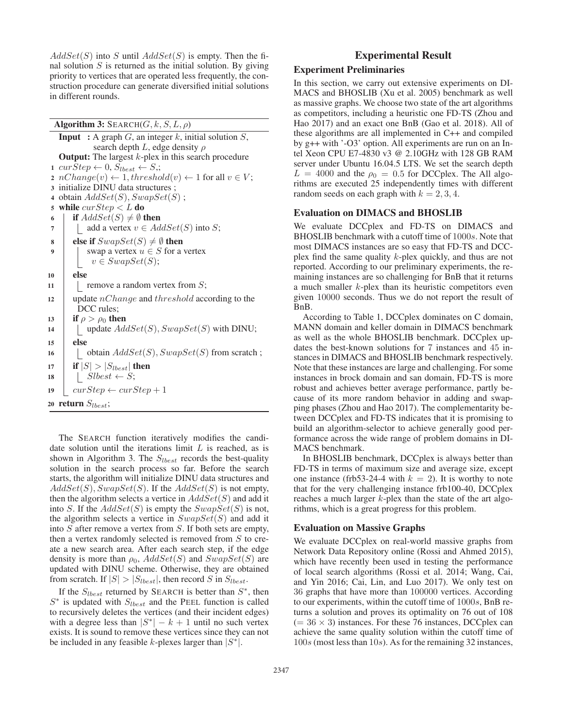$AddSet(S)$  into S until  $AddSet(S)$  is empty. Then the final solution  $S$  is returned as the initial solution. By giving priority to vertices that are operated less frequently, the construction procedure can generate diversified initial solutions in different rounds.

Algorithm 3:  $\text{SEARCH}(G, k, S, L, \rho)$ 

**Input** : A graph  $G$ , an integer  $k$ , initial solution  $S$ , search depth  $L$ , edge density  $\rho$ **Output:** The largest  $k$ -plex in this search procedure 1 curStep  $\leftarrow 0$ ,  $S_{lbest} \leftarrow S$ ; 2  $nChange(v) \leftarrow 1, threshold(v) \leftarrow 1$  for all  $v \in V$ ; 3 initialize DINU data structures ; 4 obtain  $AddSet(S), SwapSet(S)$ ; 5 while  $curStep < L$  do 6 | if  $AddSet(S) \neq \emptyset$  then 7 | add a vertex  $v \in AddSet(S)$  into S; 8 else if  $SwapSet(S) \neq \emptyset$  then 9 | swap a vertex  $u \in S$  for a vertex  $v \in SwapSet(S);$ <sup>10</sup> else 11 | remove a random vertex from  $S$ ; 12 update  $nChange$  and threshold according to the DCC rules; 13 if  $\rho > \rho_0$  then 14 | update  $AddSet(S), SwapSet(S)$  with DINU; <sup>15</sup> else 16 | | obtain  $AddSet(S), SwapSet(S)$  from scratch; 17 **if**  $|S| > |S_{lbest}|$  then 18 | Slbest  $\leftarrow$  S; 19  $curStep \leftarrow curStep + 1$ 20 return  $S_{lbest}$ ;

The SEARCH function iteratively modifies the candidate solution until the iterations limit  $L$  is reached, as is shown in Algorithm 3. The  $S_{lbest}$  records the best-quality solution in the search process so far. Before the search starts, the algorithm will initialize DINU data structures and  $AddSet(S), SwapSet(S)$ . If the  $AddSet(S)$  is not empty, then the algorithm selects a vertice in  $AddSet(S)$  and add it into S. If the  $AddSet(S)$  is empty the  $SwapSet(S)$  is not, the algorithm selects a vertice in  $SwapSet(S)$  and add it into  $S$  after remove a vertex from  $S$ . If both sets are empty, then a vertex randomly selected is removed from S to create a new search area. After each search step, if the edge density is more than  $\rho_0$ ,  $AddSet(S)$  and  $SwapSet(S)$  are updated with DINU scheme. Otherwise, they are obtained from scratch. If  $|S| > |S_{lbest}|$ , then record S in  $S_{lbest}$ .

If the  $S_{lbest}$  returned by SEARCH is better than  $S^*$ , then  $S^*$  is updated with  $S_{lbest}$  and the PEEL function is called to recursively deletes the vertices (and their incident edges) with a degree less than  $|S^*| - k + 1$  until no such vertex exists. It is sound to remove these vertices since they can not be included in any feasible k-plexes larger than  $|S^*|$ .

# Experimental Result

# Experiment Preliminaries

In this section, we carry out extensive experiments on DI-MACS and BHOSLIB (Xu et al. 2005) benchmark as well as massive graphs. We choose two state of the art algorithms as competitors, including a heuristic one FD-TS (Zhou and Hao 2017) and an exact one BnB (Gao et al. 2018). All of these algorithms are all implemented in C++ and compiled by g++ with '-O3' option. All experiments are run on an Intel Xeon CPU E7-4830 v3 @ 2.10GHz with 128 GB RAM server under Ubuntu 16.04.5 LTS. We set the search depth  $L = 4000$  and the  $\rho_0 = 0.5$  for DCCplex. The All algorithms are executed 25 independently times with different random seeds on each graph with  $k = 2, 3, 4$ .

### Evaluation on DIMACS and BHOSLIB

We evaluate DCCplex and FD-TS on DIMACS and BHOSLIB benchmark with a cutoff time of 1000s. Note that most DIMACS instances are so easy that FD-TS and DCCplex find the same quality k-plex quickly, and thus are not reported. According to our preliminary experiments, the remaining instances are so challenging for BnB that it returns a much smaller  $k$ -plex than its heuristic competitors even given 10000 seconds. Thus we do not report the result of BnB.

According to Table 1, DCCplex dominates on C domain, MANN domain and keller domain in DIMACS benchmark as well as the whole BHOSLIB benchmark. DCCplex updates the best-known solutions for 7 instances and 45 instances in DIMACS and BHOSLIB benchmark respectively. Note that these instances are large and challenging. For some instances in brock domain and san domain, FD-TS is more robust and achieves better average performance, partly because of its more random behavior in adding and swapping phases (Zhou and Hao 2017). The complementarity between DCCplex and FD-TS indicates that it is promising to build an algorithm-selector to achieve generally good performance across the wide range of problem domains in DI-MACS benchmark.

In BHOSLIB benchmark, DCCplex is always better than FD-TS in terms of maximum size and average size, except one instance (frb53-24-4 with  $k = 2$ ). It is worthy to note that for the very challenging instance frb100-40, DCCplex reaches a much larger k-plex than the state of the art algorithms, which is a great progress for this problem.

### Evaluation on Massive Graphs

We evaluate DCCplex on real-world massive graphs from Network Data Repository online (Rossi and Ahmed 2015), which have recently been used in testing the performance of local search algorithms (Rossi et al. 2014; Wang, Cai, and Yin 2016; Cai, Lin, and Luo 2017). We only test on 36 graphs that have more than 100000 vertices. According to our experiments, within the cutoff time of 1000s, BnB returns a solution and proves its optimality on 76 out of 108  $(= 36 \times 3)$  instances. For these 76 instances, DCCplex can achieve the same quality solution within the cutoff time of 100s (most less than 10s). As for the remaining 32 instances,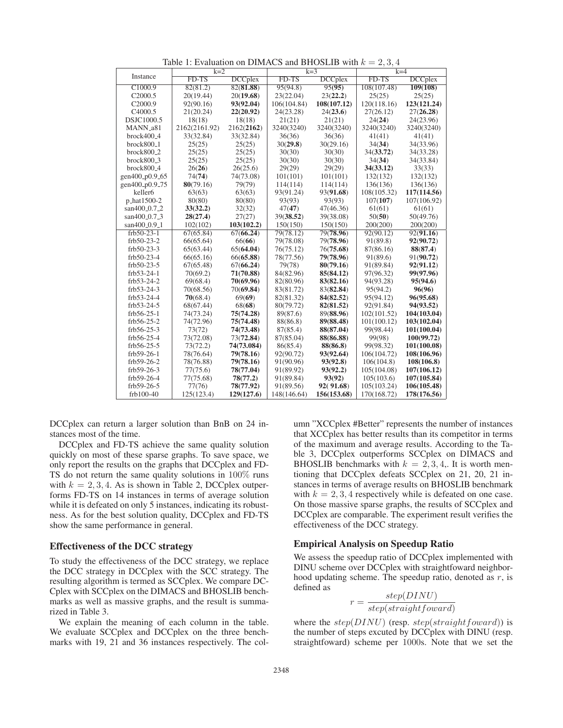| Table 1. Evaluation on Dibertic and Directed with $\kappa$<br>$-4, 0, 4$ |               |                |             |                |             |                |  |  |
|--------------------------------------------------------------------------|---------------|----------------|-------------|----------------|-------------|----------------|--|--|
| Instance                                                                 | $k=2$         |                | $k=3$       |                | $k=4$       |                |  |  |
|                                                                          | FD-TS         | <b>DCCplex</b> | FD-TS       | <b>DCCplex</b> | FD-TS       | <b>DCCplex</b> |  |  |
| C1000.9                                                                  | 82(81.2)      | 82(81.88)      | 95(94.8)    | 95(95)         | 108(107.48) | 109(108)       |  |  |
| C2000.5                                                                  | 20(19.44)     | 20(19.68)      | 23(22.04)   | 23(22.2)       | 25(25)      | 25(25)         |  |  |
| C2000.9                                                                  | 92(90.16)     | 93(92.04)      | 106(104.84) | 108(107.12)    | 120(118.16) | 123(121.24)    |  |  |
| C <sub>4000.5</sub>                                                      | 21(20.24)     | 22(20.92)      | 24(23.28)   | 24(23.6)       | 27(26.12)   | 27(26.28)      |  |  |
| DSJC1000.5                                                               | 18(18)        | 18(18)         | 21(21)      | 21(21)         | 24(24)      | 24(23.96)      |  |  |
| MANN <sub>-a81</sub>                                                     | 2162(2161.92) | 2162(2162)     | 3240(3240)  | 3240(3240)     | 3240(3240)  | 3240(3240)     |  |  |
| $brock400_4$                                                             | 33(32.84)     | 33(32.84)      | 36(36)      | 36(36)         | 41(41)      | 41(41)         |  |  |
| brock800 <sub>-1</sub>                                                   | 25(25)        | 25(25)         | 30(29.8)    | 30(29.16)      | 34(34)      | 34(33.96)      |  |  |
| brock800 <sub>-2</sub>                                                   | 25(25)        | 25(25)         | 30(30)      | 30(30)         | 34(33.72)   | 34(33.28)      |  |  |
| $brock800_3$                                                             | 25(25)        | 25(25)         | 30(30)      | 30(30)         | 34(34)      | 34(33.84)      |  |  |
| brock800 <sub>-4</sub>                                                   | 26(26)        | 26(25.6)       | 29(29)      | 29(29)         | 34(33.12)   | 33(33)         |  |  |
| gen400_p0.9_65                                                           | 74(74)        | 74(73.08)      | 101(101)    | 101(101)       | 132(132)    | 132(132)       |  |  |
| gen400_p0.9_75                                                           | 80(79.16)     | 79(79)         | 114(114)    | 114(114)       | 136(136)    | 136(136)       |  |  |
| keller6                                                                  | 63(63)        | 63(63)         | 93(91.24)   | 93(91.68)      | 108(105.32) | 117(114.56)    |  |  |
| p_hat1500-2                                                              | 80(80)        | 80(80)         | 93(93)      | 93(93)         | 107(107)    | 107(106.92)    |  |  |
| san400_0.7_2                                                             | 33(32.2)      | 32(32)         | 47(47)      | 47(46.36)      | 61(61)      | 61(61)         |  |  |
| san400 <sub>-0.7-3</sub>                                                 | 28(27.4)      | 27(27)         | 39(38.52)   | 39(38.08)      | 50(50)      | 50(49.76)      |  |  |
| san400_0.9_1                                                             | 102(102)      | 103(102.2)     | 150(150)    | 150(150)       | 200(200)    | 200(200)       |  |  |
| $frb50-23-1$                                                             | 67(65.84)     | 67(66.24)      | 79(78.12)   | 79(78.96)      | 92(90.12)   | 92(91.16)      |  |  |
| $frb50-23-2$                                                             | 66(65.64)     | 66(66)         | 79(78.08)   | 79(78.96)      | 91(89.8)    | 92(90.72)      |  |  |
| $frb50-23-3$                                                             | 65(63.44)     | 65(64.04)      | 76(75.12)   | 76(75.68)      | 87(86.16)   | 88(87.4)       |  |  |
| frb50-23-4                                                               | 66(65.16)     | 66(65.88)      | 78(77.56)   | 79(78.96)      | 91(89.6)    | 91(90.72)      |  |  |
| $frb50-23-5$                                                             | 67(65.48)     | 67(66.24)      | 79(78)      | 80(79.16)      | 91(89.84)   | 92(91.12)      |  |  |
| frb53-24-1                                                               | 70(69.2)      | 71(70.88)      | 84(82.96)   | 85(84.12)      | 97(96.32)   | 99(97.96)      |  |  |
| $frb53-24-2$                                                             | 69(68.4)      | 70(69.96)      | 82(80.96)   | 83(82.16)      | 94(93.28)   | 95(94.6)       |  |  |
| $frb53-24-3$                                                             | 70(68.56)     | 70(69.84)      | 83(81.72)   | 83(82.84)      | 95(94.2)    | 96(96)         |  |  |
| frb53-24-4                                                               | 70(68.4)      | 69(69)         | 82(81.32)   | 84(82.52)      | 95(94.12)   | 96(95.68)      |  |  |
| $frb53-24-5$                                                             | 68(67.44)     | 68(68)         | 80(79.72)   | 82(81.52)      | 92(91.84)   | 94(93.52)      |  |  |
| $frb56-25-1$                                                             | 74(73.24)     | 75(74.28)      | 89(87.6)    | 89(88.96)      | 102(101.52) | 104(103.04)    |  |  |
| $frb56-25-2$                                                             | 74(72.96)     | 75(74.48)      | 88(86.8)    | 89(88.48)      | 101(100.12) | 103(102.04)    |  |  |
| frb56-25-3                                                               | 73(72)        | 74(73.48)      | 87(85.4)    | 88(87.04)      | 99(98.44)   | 101(100.04)    |  |  |
| frb56-25-4                                                               | 73(72.08)     | 73(72.84)      | 87(85.04)   | 88(86.88)      | 99(98)      | 100(99.72)     |  |  |
| $frb56-25-5$                                                             | 73(72.2)      | 74(73.084)     | 86(85.4)    | 88(86.8)       | 99(98.32)   | 101(100.08)    |  |  |
| $frb59-26-1$                                                             | 78(76.64)     | 79(78.16)      | 92(90.72)   | 93(92.64)      | 106(104.72) | 108(106.96)    |  |  |
| frb59-26-2                                                               | 78(76.88)     | 79(78.16)      | 91(90.96)   | 93(92.8)       | 106(104.8)  | 108(106.8)     |  |  |
| $frb59-26-3$                                                             | 77(75.6)      | 78(77.04)      | 91(89.92)   | 93(92.2)       | 105(104.08) | 107(106.12)    |  |  |
| frb59-26-4                                                               | 77(75.68)     | 78(77.2)       | 91(89.84)   | 93(92)         | 105(103.6)  | 107(105.84)    |  |  |
| $frb59-26-5$                                                             | 77(76)        | 78(77.92)      | 91(89.56)   | 92(91.68)      | 105(103.24) | 106(105.48)    |  |  |
| frb100-40                                                                | 125(123.4)    | 129(127.6)     | 148(146.64) | 156(153.68)    | 170(168.72) | 178(176.56)    |  |  |

Table 1: Evaluation on DIMACS and BHOSLIB with  $k = 2, 3, 4$ 

DCCplex can return a larger solution than BnB on 24 instances most of the time.

DCCplex and FD-TS achieve the same quality solution quickly on most of these sparse graphs. To save space, we only report the results on the graphs that DCCplex and FD-TS do not return the same quality solutions in 100% runs with  $k = 2, 3, 4$ . As is shown in Table 2, DCCplex outperforms FD-TS on 14 instances in terms of average solution while it is defeated on only 5 instances, indicating its robustness. As for the best solution quality, DCCplex and FD-TS show the same performance in general.

# Effectiveness of the DCC strategy

To study the effectiveness of the DCC strategy, we replace the DCC strategy in DCCplex with the SCC strategy. The resulting algorithm is termed as SCCplex. We compare DC-Cplex with SCCplex on the DIMACS and BHOSLIB benchmarks as well as massive graphs, and the result is summarized in Table 3.

We explain the meaning of each column in the table. We evaluate SCCplex and DCCplex on the three benchmarks with 19, 21 and 36 instances respectively. The column "XCCplex #Better" represents the number of instances that XCCplex has better results than its competitor in terms of the maximum and average results. According to the Table 3, DCCplex outperforms SCCplex on DIMACS and BHOSLIB benchmarks with  $k = 2, 3, 4$ . It is worth mentioning that DCCplex defeats SCCplex on 21, 20, 21 instances in terms of average results on BHOSLIB benchmark with  $k = 2, 3, 4$  respectively while is defeated on one case. On those massive sparse graphs, the results of SCCplex and DCCplex are comparable. The experiment result verifies the effectiveness of the DCC strategy.

### Empirical Analysis on Speedup Ratio

We assess the speedup ratio of DCCplex implemented with DINU scheme over DCCplex with straightfoward neighborhood updating scheme. The speedup ratio, denoted as  $r$ , is defined as

$$
r = \frac{step(DINV)}{step(straightfoward)}
$$

where the  $step(DINV)$  (resp.  $step(straightfoward)$ ) is the number of steps excuted by DCCplex with DINU (resp. straightfoward) scheme per 1000s. Note that we set the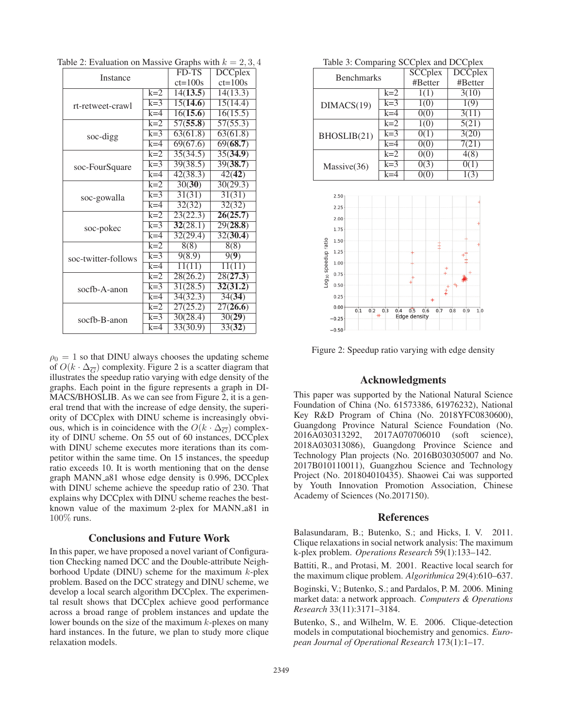| <b>Instance</b>     | FD-TS       | <b>DCCplex</b>        |                     |
|---------------------|-------------|-----------------------|---------------------|
|                     | $ct = 100s$ | $ct = 100s$           |                     |
|                     | $k=2$       | 14(13.5)              | 14(13.3)            |
| rt-retweet-crawl    | $k=3$       | $\overline{15(14.6)}$ | 15(14.4)            |
|                     | $k=4$       | 16(15.6)              | 16(15.5)            |
|                     | $k=2$       | 57(55.8)              | 57(55.3)            |
| soc-digg            | $k=3$       | 63(61.8)              | 63(61.8)            |
|                     | $k=4$       | 69(67.6)              | 69(68.7)            |
|                     | $k=2$       | 35(34.5)              | 35(34.9)            |
| soc-FourSquare      | $k=3$       | 39(38.5)              | 39(38.7)            |
|                     | $k=4$       | 42(38.3)              | 42(42)              |
|                     | $k=2$       | 30(30)                | 30(29.3)            |
| soc-gowalla         | $k=3$       | 31(31)                | 31(31)              |
|                     | $k=4$       | 32(32)                | 32(32)              |
|                     | $k=2$       | 23(22.3)              | 26(25.7)            |
| soc-pokec           | $k=3$       | 32(28.1)              | 29(28.8)            |
|                     | $k=4$       | 32(29.4)              | 32(30.4)            |
|                     | $k=2$       | 8(8)                  | 8(8)                |
| soc-twitter-follows | $k=3$       | 9(8.9)                | 9(9)                |
|                     | $k=4$       | 11(11)                | 11(11)              |
| socfb-A-anon        | $k=2$       | 28(26.2)              | 28(27.3)            |
|                     | $k=3$       | 31(28.5)              | 32(31.2)            |
|                     | $k=4$       | 34(32.3)              | 34(34)              |
|                     | $k=2$       | 27(25.2)              | 27(26.6)            |
| socfb-B-anon        | $k=3$       | 30(28.4)              | $\overline{30(29)}$ |
|                     | $k=4$       | 33(30.9)              | 33(32)              |

Table 2: Evaluation on Massive Graphs with  $k = 2, 3, 4$ 

 $\rho_0 = 1$  so that DINU always chooses the updating scheme of  $O(k \cdot \Delta_{\overline{G}})$  complexity. Figure 2 is a scatter diagram that illustrates the speedup ratio varying with edge density of the graphs. Each point in the figure represents a graph in DI-MACS/BHOSLIB. As we can see from Figure 2, it is a general trend that with the increase of edge density, the superiority of DCCplex with DINU scheme is increasingly obvious, which is in coincidence with the  $O(k \cdot \Delta_{\overline{G}})$  complexity of DINU scheme. On 55 out of 60 instances, DCCplex with DINU scheme executes more iterations than its competitor within the same time. On 15 instances, the speedup ratio exceeds 10. It is worth mentioning that on the dense graph MANN a81 whose edge density is 0.996, DCCplex with DINU scheme achieve the speedup ratio of 230. That explains why DCCplex with DINU scheme reaches the bestknown value of the maximum 2-plex for MANN a81 in 100% runs.

### Conclusions and Future Work

In this paper, we have proposed a novel variant of Configuration Checking named DCC and the Double-attribute Neighborhood Update (DINU) scheme for the maximum  $k$ -plex problem. Based on the DCC strategy and DINU scheme, we develop a local search algorithm DCCplex. The experimental result shows that DCCplex achieve good performance across a broad range of problem instances and update the lower bounds on the size of the maximum  $k$ -plexes on many hard instances. In the future, we plan to study more clique relaxation models.

| Table 3: Comparing SCCplex and DCCplex |       |                 |                    |  |  |  |  |
|----------------------------------------|-------|-----------------|--------------------|--|--|--|--|
| <b>Benchmarks</b>                      |       | <b>SCC</b> plex | <b>DCCplex</b>     |  |  |  |  |
|                                        |       | #Better         | #Better            |  |  |  |  |
|                                        | $k=2$ | 1(1)            | 3(10)              |  |  |  |  |
| DIMACS(19)                             | $k=3$ | 1(0)            | 1(9)               |  |  |  |  |
|                                        | $k=4$ | 0(0)            | 3(11)              |  |  |  |  |
|                                        | $k=2$ | 1(0)            | 5(21)              |  |  |  |  |
| BHOSLIB(21)                            | $k=3$ | 0(1)            | $\overline{3(20)}$ |  |  |  |  |
|                                        | $k=4$ | 0(0)            | 7(21)              |  |  |  |  |
| Massive(36)                            | $k=2$ | 0(0)            | 4(8)               |  |  |  |  |
|                                        | $k=3$ | 0(3)            | 0(1)               |  |  |  |  |
|                                        | $k=4$ |                 | 163                |  |  |  |  |



Figure 2: Speedup ratio varying with edge density

### Acknowledgments

This paper was supported by the National Natural Science Foundation of China (No. 61573386, 61976232), National Key R&D Program of China (No. 2018YFC0830600), Guangdong Province Natural Science Foundation (No. 2016A030313292, 2017A070706010 (soft science), 2018A030313086), Guangdong Province Science and Technology Plan projects (No. 2016B030305007 and No. 2017B010110011), Guangzhou Science and Technology Project (No. 201804010435). Shaowei Cai was supported by Youth Innovation Promotion Association, Chinese Academy of Sciences (No.2017150).

#### References

Balasundaram, B.; Butenko, S.; and Hicks, I. V. 2011. Clique relaxations in social network analysis: The maximum k-plex problem. *Operations Research* 59(1):133–142.

Battiti, R., and Protasi, M. 2001. Reactive local search for the maximum clique problem. *Algorithmica* 29(4):610–637.

Boginski, V.; Butenko, S.; and Pardalos, P. M. 2006. Mining market data: a network approach. *Computers & Operations Research* 33(11):3171–3184.

Butenko, S., and Wilhelm, W. E. 2006. Clique-detection models in computational biochemistry and genomics. *European Journal of Operational Research* 173(1):1–17.